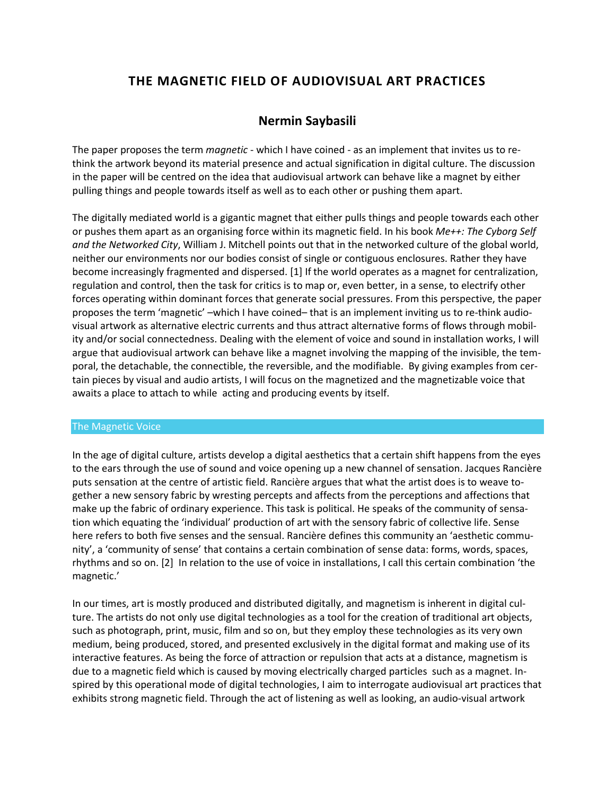# **THE MAGNETIC FIELD OF AUDIOVISUAL ART PRACTICES**

## **Nermin Saybasili**

The paper proposes the term *magnetic* - which I have coined - as an implement that invites us to rethink the artwork beyond its material presence and actual signification in digital culture. The discussion in the paper will be centred on the idea that audiovisual artwork can behave like a magnet by either pulling things and people towards itself as well as to each other or pushing them apart.

The digitally mediated world is a gigantic magnet that either pulls things and people towards each other or pushes them apart as an organising force within its magnetic field. In his book *Me++: The Cyborg Self and the Networked City*, William J. Mitchell points out that in the networked culture of the global world, neither our environments nor our bodies consist of single or contiguous enclosures. Rather they have become increasingly fragmented and dispersed. [1] If the world operates as a magnet for centralization, regulation and control, then the task for critics is to map or, even better, in a sense, to electrify other forces operating within dominant forces that generate social pressures. From this perspective, the paper proposes the term 'magnetic' –which I have coined– that is an implement inviting us to re-think audiovisual artwork as alternative electric currents and thus attract alternative forms of flows through mobility and/or social connectedness. Dealing with the element of voice and sound in installation works, I will argue that audiovisual artwork can behave like a magnet involving the mapping of the invisible, the temporal, the detachable, the connectible, the reversible, and the modifiable. By giving examples from certain pieces by visual and audio artists, I will focus on the magnetized and the magnetizable voice that awaits a place to attach to while acting and producing events by itself.

#### The Magnetic Voice

In the age of digital culture, artists develop a digital aesthetics that a certain shift happens from the eyes to the ears through the use of sound and voice opening up a new channel of sensation. Jacques Rancière puts sensation at the centre of artistic field. Rancière argues that what the artist does is to weave together a new sensory fabric by wresting percepts and affects from the perceptions and affections that make up the fabric of ordinary experience. This task is political. He speaks of the community of sensation which equating the 'individual' production of art with the sensory fabric of collective life. Sense here refers to both five senses and the sensual. Rancière defines this community an 'aesthetic community', a 'community of sense' that contains a certain combination of sense data: forms, words, spaces, rhythms and so on. [2] In relation to the use of voice in installations, I call this certain combination 'the magnetic.'

In our times, art is mostly produced and distributed digitally, and magnetism is inherent in digital culture. The artists do not only use digital technologies as a tool for the creation of traditional art objects, such as photograph, print, music, film and so on, but they employ these technologies as its very own medium, being produced, stored, and presented exclusively in the digital format and making use of its interactive features. As being the force of attraction or repulsion that acts at a distance, magnetism is due to a magnetic field which is caused by moving electrically charged particles such as a magnet. Inspired by this operational mode of digital technologies, I aim to interrogate audiovisual art practices that exhibits strong magnetic field. Through the act of listening as well as looking, an audio-visual artwork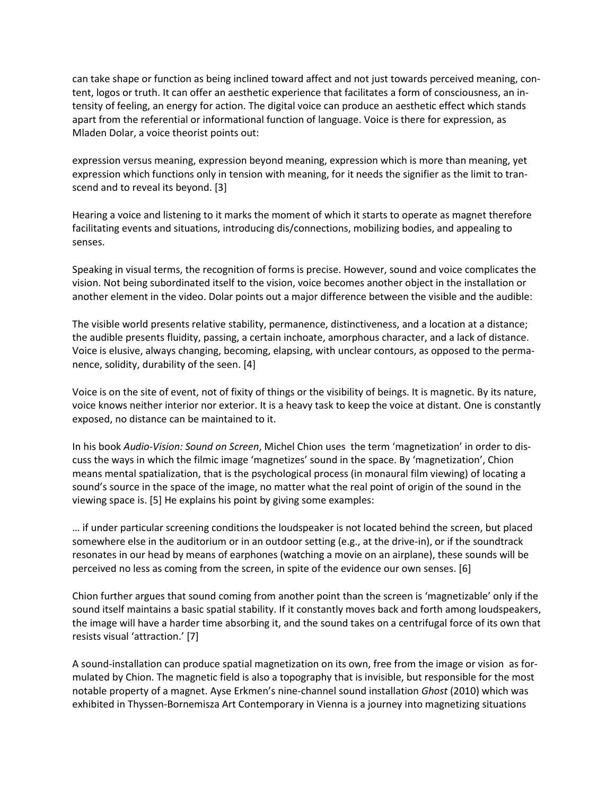can take shape or function as being inclined toward affect and not just towards perceived meaning, content, logos or truth. It can offer an aesthetic experience that facilitates a form of consciousness, an intensity of feeling, an energy for action. The digital voice can produce an aesthetic effect which stands apart from the referential or informational function of language. Voice is there for expression, as Mladen Dolar, a voice theorist points out:

expression versus meaning, expression beyond meaning, expression which is more than meaning, yet expression which functions only in tension with meaning, for it needs the signifier as the limit to transcend and to reveal its beyond. [3]

Hearing a voice and listening to it marks the moment of which it starts to operate as magnet therefore facilitating events and situations, introducing dis/connections, mobilizing bodies, and appealing to senses.

Speaking in visual terms, the recognition of forms is precise. However, sound and voice complicates the vision. Not being subordinated itself to the vision, voice becomes another object in the installation or another element in the video. Dolar points out a major difference between the visible and the audible:

The visible world presents relative stability, permanence, distinctiveness, and a location at a distance; the audible presents fluidity, passing, a certain inchoate, amorphous character, and a lack of distance. Voice is elusive, always changing, becoming, elapsing, with unclear contours, as opposed to the permanence, solidity, durability of the seen. [4]

Voice is on the site of event, not of fixity of things or the visibility of beings. It is magnetic. By its nature, voice knows neither interior nor exterior. It is a heavy task to keep the voice at distant. One is constantly exposed, no distance can be maintained to it.

In his book *Audio-Vision: Sound on Screen*, Michel Chion uses the term 'magnetization' in order to discuss the ways in which the filmic image 'magnetizes' sound in the space. By 'magnetization', Chion means mental spatialization, that is the psychological process (in monaural film viewing) of locating a sound's source in the space of the image, no matter what the real point of origin of the sound in the viewing space is. [5] He explains his point by giving some examples:

… if under particular screening conditions the loudspeaker is not located behind the screen, but placed somewhere else in the auditorium or in an outdoor setting (e.g., at the drive-in), or if the soundtrack resonates in our head by means of earphones (watching a movie on an airplane), these sounds will be perceived no less as coming from the screen, in spite of the evidence our own senses. [6]

Chion further argues that sound coming from another point than the screen is 'magnetizable' only if the sound itself maintains a basic spatial stability. If it constantly moves back and forth among loudspeakers, the image will have a harder time absorbing it, and the sound takes on a centrifugal force of its own that resists visual 'attraction.' [7]

A sound-installation can produce spatial magnetization on its own, free from the image or vision as formulated by Chion. The magnetic field is also a topography that is invisible, but responsible for the most notable property of a magnet. Ayse Erkmen's nine-channel sound installation *Ghost* (2010) which was exhibited in Thyssen-Bornemisza Art Contemporary in Vienna is a journey into magnetizing situations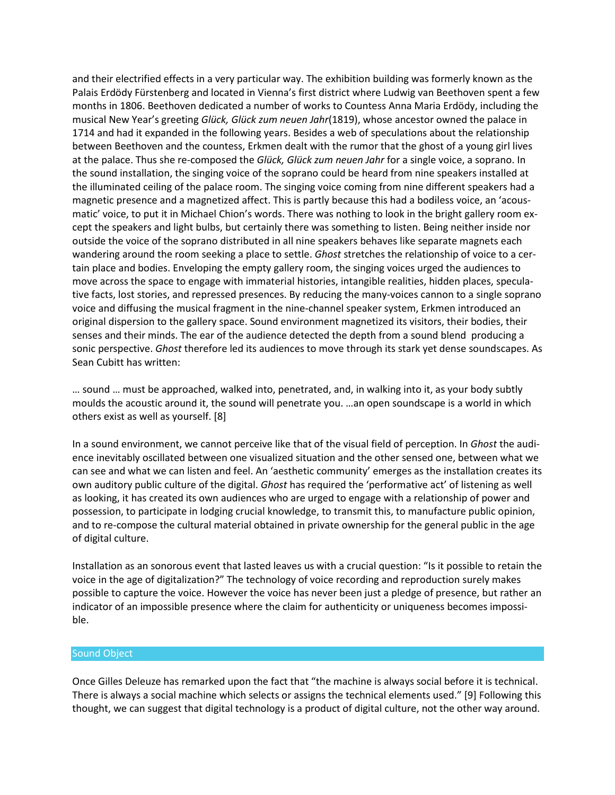and their electrified effects in a very particular way. The exhibition building was formerly known as the Palais Erdödy Fürstenberg and located in Vienna's first district where Ludwig van Beethoven spent a few months in 1806. Beethoven dedicated a number of works to Countess Anna Maria Erdödy, including the musical New Year's greeting *Glück, Glück zum neuen Jahr*(1819), whose ancestor owned the palace in 1714 and had it expanded in the following years. Besides a web of speculations about the relationship between Beethoven and the countess, Erkmen dealt with the rumor that the ghost of a young girl lives at the palace. Thus she re-composed the *Glück, Glück zum neuen Jahr* for a single voice, a soprano. In the sound installation, the singing voice of the soprano could be heard from nine speakers installed at the illuminated ceiling of the palace room. The singing voice coming from nine different speakers had a magnetic presence and a magnetized affect. This is partly because this had a bodiless voice, an 'acousmatic' voice, to put it in Michael Chion's words. There was nothing to look in the bright gallery room except the speakers and light bulbs, but certainly there was something to listen. Being neither inside nor outside the voice of the soprano distributed in all nine speakers behaves like separate magnets each wandering around the room seeking a place to settle. *Ghost* stretches the relationship of voice to a certain place and bodies. Enveloping the empty gallery room, the singing voices urged the audiences to move across the space to engage with immaterial histories, intangible realities, hidden places, speculative facts, lost stories, and repressed presences. By reducing the many-voices cannon to a single soprano voice and diffusing the musical fragment in the nine-channel speaker system, Erkmen introduced an original dispersion to the gallery space. Sound environment magnetized its visitors, their bodies, their senses and their minds. The ear of the audience detected the depth from a sound blend producing a sonic perspective. *Ghost* therefore led its audiences to move through its stark yet dense soundscapes. As Sean Cubitt has written:

… sound … must be approached, walked into, penetrated, and, in walking into it, as your body subtly moulds the acoustic around it, the sound will penetrate you. …an open soundscape is a world in which others exist as well as yourself. [8]

In a sound environment, we cannot perceive like that of the visual field of perception. In *Ghost* the audience inevitably oscillated between one visualized situation and the other sensed one, between what we can see and what we can listen and feel. An 'aesthetic community' emerges as the installation creates its own auditory public culture of the digital. *Ghost* has required the 'performative act' of listening as well as looking, it has created its own audiences who are urged to engage with a relationship of power and possession, to participate in lodging crucial knowledge, to transmit this, to manufacture public opinion, and to re-compose the cultural material obtained in private ownership for the general public in the age of digital culture.

Installation as an sonorous event that lasted leaves us with a crucial question: "Is it possible to retain the voice in the age of digitalization?" The technology of voice recording and reproduction surely makes possible to capture the voice. However the voice has never been just a pledge of presence, but rather an indicator of an impossible presence where the claim for authenticity or uniqueness becomes impossible.

#### Sound Object

Once Gilles Deleuze has remarked upon the fact that "the machine is always social before it is technical. There is always a social machine which selects or assigns the technical elements used." [9] Following this thought, we can suggest that digital technology is a product of digital culture, not the other way around.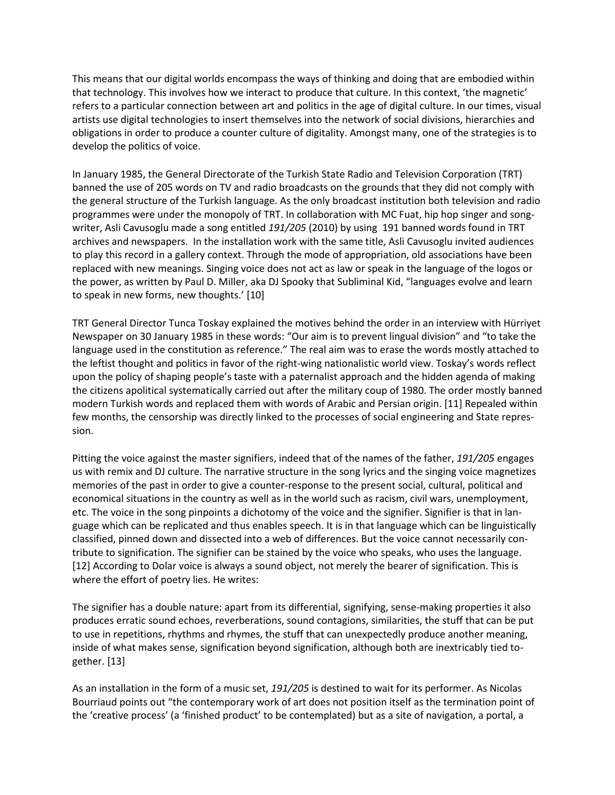This means that our digital worlds encompass the ways of thinking and doing that are embodied within that technology. This involves how we interact to produce that culture. In this context, 'the magnetic' refers to a particular connection between art and politics in the age of digital culture. In our times, visual artists use digital technologies to insert themselves into the network of social divisions, hierarchies and obligations in order to produce a counter culture of digitality. Amongst many, one of the strategies is to develop the politics of voice.

In January 1985, the General Directorate of the Turkish State Radio and Television Corporation (TRT) banned the use of 205 words on TV and radio broadcasts on the grounds that they did not comply with the general structure of the Turkish language. As the only broadcast institution both television and radio programmes were under the monopoly of TRT. In collaboration with MC Fuat, hip hop singer and songwriter, Asli Cavusoglu made a song entitled *191/205* (2010) by using 191 banned words found in TRT archives and newspapers. In the installation work with the same title, Asli Cavusoglu invited audiences to play this record in a gallery context. Through the mode of appropriation, old associations have been replaced with new meanings. Singing voice does not act as law or speak in the language of the logos or the power, as written by Paul D. Miller, aka DJ Spooky that Subliminal Kid, "languages evolve and learn to speak in new forms, new thoughts.' [10]

TRT General Director Tunca Toskay explained the motives behind the order in an interview with Hürriyet Newspaper on 30 January 1985 in these words: "Our aim is to prevent lingual division" and "to take the language used in the constitution as reference." The real aim was to erase the words mostly attached to the leftist thought and politics in favor of the right-wing nationalistic world view. Toskay's words reflect upon the policy of shaping people's taste with a paternalist approach and the hidden agenda of making the citizens apolitical systematically carried out after the military coup of 1980. The order mostly banned modern Turkish words and replaced them with words of Arabic and Persian origin. [11] Repealed within few months, the censorship was directly linked to the processes of social engineering and State repression.

Pitting the voice against the master signifiers, indeed that of the names of the father, *191/205* engages us with remix and DJ culture. The narrative structure in the song lyrics and the singing voice magnetizes memories of the past in order to give a counter-response to the present social, cultural, political and economical situations in the country as well as in the world such as racism, civil wars, unemployment, etc. The voice in the song pinpoints a dichotomy of the voice and the signifier. Signifier is that in language which can be replicated and thus enables speech. It is in that language which can be linguistically classified, pinned down and dissected into a web of differences. But the voice cannot necessarily contribute to signification. The signifier can be stained by the voice who speaks, who uses the language. [12] According to Dolar voice is always a sound object, not merely the bearer of signification. This is where the effort of poetry lies. He writes:

The signifier has a double nature: apart from its differential, signifying, sense-making properties it also produces erratic sound echoes, reverberations, sound contagions, similarities, the stuff that can be put to use in repetitions, rhythms and rhymes, the stuff that can unexpectedly produce another meaning, inside of what makes sense, signification beyond signification, although both are inextricably tied together. [13]

As an installation in the form of a music set, *191/205* is destined to wait for its performer. As Nicolas Bourriaud points out "the contemporary work of art does not position itself as the termination point of the 'creative process' (a 'finished product' to be contemplated) but as a site of navigation, a portal, a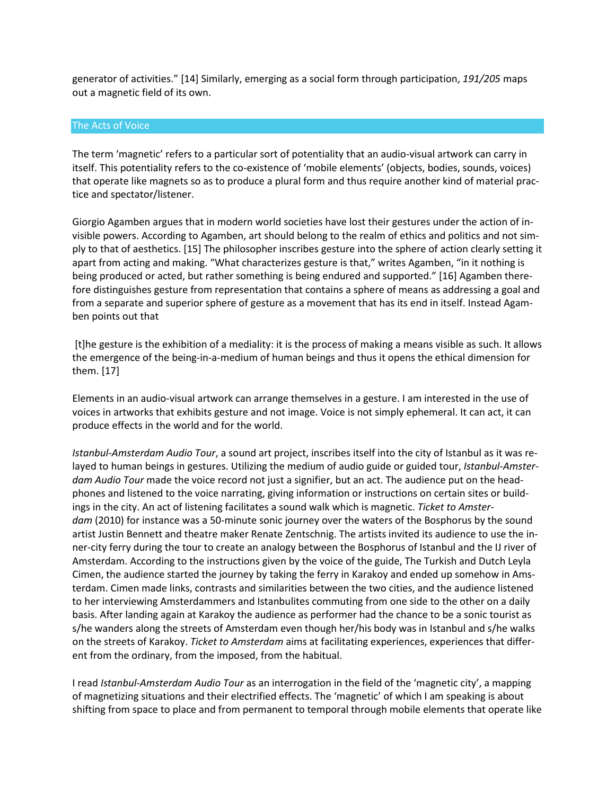generator of activities." [14] Similarly, emerging as a social form through participation, *191/205* maps out a magnetic field of its own.

#### The Acts of Voice

The term 'magnetic' refers to a particular sort of potentiality that an audio-visual artwork can carry in itself. This potentiality refers to the co-existence of 'mobile elements' (objects, bodies, sounds, voices) that operate like magnets so as to produce a plural form and thus require another kind of material practice and spectator/listener.

Giorgio Agamben argues that in modern world societies have lost their gestures under the action of invisible powers. According to Agamben, art should belong to the realm of ethics and politics and not simply to that of aesthetics. [15] The philosopher inscribes gesture into the sphere of action clearly setting it apart from acting and making. "What characterizes gesture is that," writes Agamben, "in it nothing is being produced or acted, but rather something is being endured and supported." [16] Agamben therefore distinguishes gesture from representation that contains a sphere of means as addressing a goal and from a separate and superior sphere of gesture as a movement that has its end in itself. Instead Agamben points out that

[t]he gesture is the exhibition of a mediality: it is the process of making a means visible as such. It allows the emergence of the being-in-a-medium of human beings and thus it opens the ethical dimension for them. [17]

Elements in an audio-visual artwork can arrange themselves in a gesture. I am interested in the use of voices in artworks that exhibits gesture and not image. Voice is not simply ephemeral. It can act, it can produce effects in the world and for the world.

*Istanbul-Amsterdam Audio Tour*, a sound art project, inscribes itself into the city of Istanbul as it was relayed to human beings in gestures. Utilizing the medium of audio guide or guided tour, *Istanbul-Amsterdam Audio Tour* made the voice record not just a signifier, but an act. The audience put on the headphones and listened to the voice narrating, giving information or instructions on certain sites or buildings in the city. An act of listening facilitates a sound walk which is magnetic. *Ticket to Amsterdam* (2010) for instance was a 50-minute sonic journey over the waters of the Bosphorus by the sound artist Justin Bennett and theatre maker Renate Zentschnig. The artists invited its audience to use the inner-city ferry during the tour to create an analogy between the Bosphorus of Istanbul and the IJ river of Amsterdam. According to the instructions given by the voice of the guide, The Turkish and Dutch Leyla Cimen, the audience started the journey by taking the ferry in Karakoy and ended up somehow in Amsterdam. Cimen made links, contrasts and similarities between the two cities, and the audience listened to her interviewing Amsterdammers and Istanbulites commuting from one side to the other on a daily basis. After landing again at Karakoy the audience as performer had the chance to be a sonic tourist as s/he wanders along the streets of Amsterdam even though her/his body was in Istanbul and s/he walks on the streets of Karakoy. *Ticket to Amsterdam* aims at facilitating experiences, experiences that different from the ordinary, from the imposed, from the habitual.

I read *Istanbul-Amsterdam Audio Tour* as an interrogation in the field of the 'magnetic city', a mapping of magnetizing situations and their electrified effects. The 'magnetic' of which I am speaking is about shifting from space to place and from permanent to temporal through mobile elements that operate like